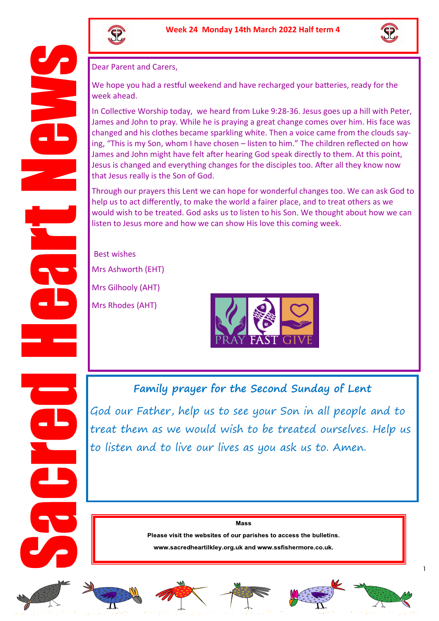



Dear Parent and Carers,

We hope you had a restful weekend and have recharged your batteries, ready for the week ahead.

In Collective Worship today, we heard from Luke 9:28-36. Jesus goes up a hill with Peter, James and John to pray. While he is praying a great change comes over him. His face was changed and his clothes became sparkling white. Then a voice came from the clouds saying, "This is my Son, whom I have chosen – listen to him." The children reflected on how James and John might have felt after hearing God speak directly to them. At this point, Jesus is changed and everything changes for the disciples too. After all they know now that Jesus really is the Son of God.

Through our prayers this Lent we can hope for wonderful changes too. We can ask God to help us to act differently, to make the world a fairer place, and to treat others as we would wish to be treated. God asks us to listen to his Son. We thought about how we can listen to Jesus more and how we can show His love this coming week.

Best wishes Mrs Ashworth (EHT)

Mrs Gilhooly (AHT)

Mrs Rhodes (AHT)



## **Family prayer for the Second Sunday of Lent**

God our Father, help us to see your Son in all people and to treat them as we would wish to be treated ourselves. Help us to listen and to live our lives as you ask us to. Amen.

Mass

Please visit the websites of our parishes to access the bulletins.

www.sacredheartilkley.org.uk and www.ssfishermore.co.uk.











1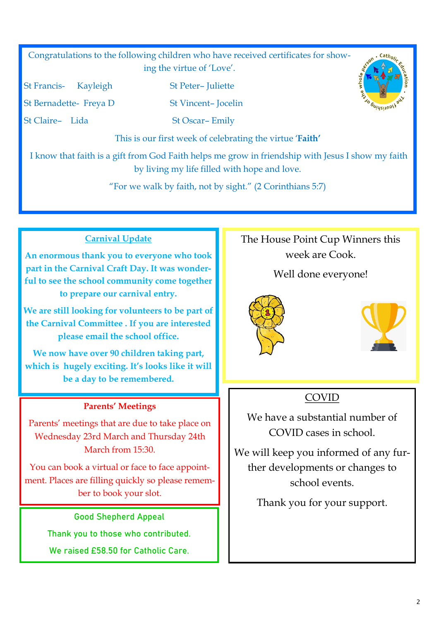Congratulations to the following children who have received certificates for showing the virtue of 'Love'.

St Francis- Kayleigh St Peter– Juliette

St Bernadette- Freya D St Vincent-Jocelin

St Claire- Lida St Oscar- Emily

This is our first week of celebrating the virtue '**Faith'**

I know that faith is a gift from God Faith helps me grow in friendship with Jesus I show my faith by living my life filled with hope and love.

"For we walk by faith, not by sight." (2 Corinthians 5:7)

#### **Carnival Update**

**An enormous thank you to everyone who took part in the Carnival Craft Day. It was wonderful to see the school community come together to prepare our carnival entry.**

**We are still looking for volunteers to be part of the Carnival Committee . If you are interested please email the school office.**

**We now have over 90 children taking part, which is hugely exciting. It's looks like it will be a day to be remembered.** 

#### **Parents' Meetings**

Parents' meetings that are due to take place on Wednesday 23rd March and Thursday 24th March from 15:30.

You can book a virtual or face to face appointment. Places are filling quickly so please remember to book your slot.

Good Shepherd Appeal

Thank you to those who contributed.

We raised £58.50 for Catholic Care.

# The House Point Cup Winners this week are Cook.

#### Well done everyone!





.  $Cath_{O/j}$ 

*<u>Guideirvoly</u>* 

### COVID

We have a substantial number of COVID cases in school.

We will keep you informed of any further developments or changes to school events.

Thank you for your support.